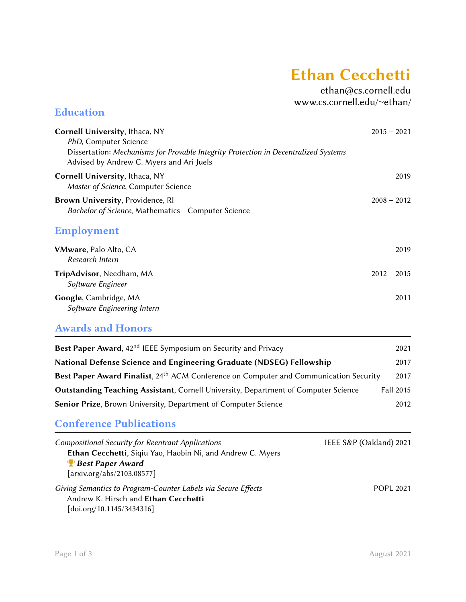# **Ethan Cecchetti**

[ethan@cs.cornell.edu](mailto:ethan@cs.cornell.edu) [www.cs.cornell.edu/](https://www.cs.cornell.edu/~ethan/)∼ethan/

| Cornell University, Ithaca, NY                                                                                                                                                    | $2015 - 2021$           |
|-----------------------------------------------------------------------------------------------------------------------------------------------------------------------------------|-------------------------|
| PhD, Computer Science<br>Dissertation: Mechanisms for Provable Integrity Protection in Decentralized Systems<br>Advised by Andrew C. Myers and Ari Juels                          |                         |
| Cornell University, Ithaca, NY<br>Master of Science, Computer Science                                                                                                             | 2019                    |
| Brown University, Providence, RI<br>Bachelor of Science, Mathematics - Computer Science                                                                                           | $2008 - 2012$           |
| <b>Employment</b>                                                                                                                                                                 |                         |
| VMware, Palo Alto, CA<br>Research Intern                                                                                                                                          | 2019                    |
| TripAdvisor, Needham, MA<br>Software Engineer                                                                                                                                     | $2012 - 2015$           |
| Google, Cambridge, MA<br>Software Engineering Intern                                                                                                                              | 2011                    |
| <b>Awards and Honors</b>                                                                                                                                                          |                         |
| Best Paper Award, 42 <sup>nd</sup> IEEE Symposium on Security and Privacy                                                                                                         | 2021                    |
| National Defense Science and Engineering Graduate (NDSEG) Fellowship                                                                                                              | 2017                    |
| Best Paper Award Finalist, 24 <sup>th</sup> ACM Conference on Computer and Communication Security                                                                                 | 2017                    |
| <b>Outstanding Teaching Assistant, Cornell University, Department of Computer Science</b>                                                                                         | <b>Fall 2015</b>        |
| Senior Prize, Brown University, Department of Computer Science                                                                                                                    | 2012                    |
| <b>Conference Publications</b>                                                                                                                                                    |                         |
| <b>Compositional Security for Reentrant Applications</b><br>Ethan Cecchetti, Siqiu Yao, Haobin Ni, and Andrew C. Myers<br><b>P</b> Best Paper Award<br>[arxiv.org/abs/2103.08577] | IEEE S&P (Oakland) 2021 |
| Giving Semantics to Program-Counter Labels via Secure Effects<br>Andrew K. Hirsch and Ethan Cecchetti<br>[doi.org/10.1145/3434316]                                                | <b>POPL 2021</b>        |

Education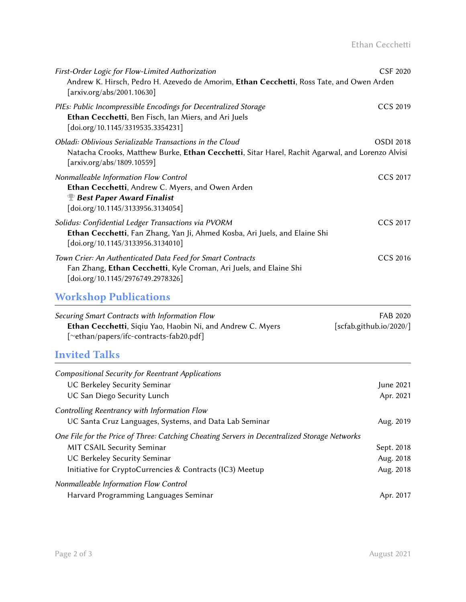| First-Order Logic for Flow-Limited Authorization<br>Andrew K. Hirsch, Pedro H. Azevedo de Amorim, Ethan Cecchetti, Ross Tate, and Owen Arden<br>[arxiv.org/abs/2001.10630]                | CSF 2020         |
|-------------------------------------------------------------------------------------------------------------------------------------------------------------------------------------------|------------------|
| PIEs: Public Incompressible Encodings for Decentralized Storage<br>Ethan Cecchetti, Ben Fisch, Ian Miers, and Ari Juels<br>$\left[$ doi.org/10.1145/3319535.3354231]                      | CCS 2019         |
| Obladi: Oblivious Serializable Transactions in the Cloud<br>Natacha Crooks, Matthew Burke, Ethan Cecchetti, Sitar Harel, Rachit Agarwal, and Lorenzo Alvisi<br>[arxiv.org/abs/1809.10559] | <b>OSDI 2018</b> |
| Nonmalleable Information Flow Control<br>Ethan Cecchetti, Andrew C. Myers, and Owen Arden<br><b>Best Paper Award Finalist</b><br>$\left[$ doi.org/10.1145/3133956.3134054 $\right]$       | CCS 2017         |
| Solidus: Confidential Ledger Transactions via PVORM<br>Ethan Cecchetti, Fan Zhang, Yan Ji, Ahmed Kosba, Ari Juels, and Elaine Shi<br>$\left[$ doi.org/10.1145/3133956.3134010 $\right]$   | CCS 2017         |
| Town Crier: An Authenticated Data Feed for Smart Contracts<br>Fan Zhang, Ethan Cecchetti, Kyle Croman, Ari Juels, and Elaine Shi<br>[doi.org/10.1145/2976749.2978326]                     | CCS 2016         |

# Workshop Publications

| Securing Smart Contracts with Information Flow             | FAB 2020                |
|------------------------------------------------------------|-------------------------|
| Ethan Cecchetti, Siqiu Yao, Haobin Ni, and Andrew C. Myers | [scfab.github.io/2020/] |
| [~ethan/papers/ifc-contracts-fab20.pdf]]                   |                         |

# Invited Talks

| <b>Compositional Security for Reentrant Applications</b>                                     |            |
|----------------------------------------------------------------------------------------------|------------|
| UC Berkeley Security Seminar                                                                 | June 2021  |
| UC San Diego Security Lunch                                                                  | Apr. 2021  |
| Controlling Reentrancy with Information Flow                                                 |            |
| UC Santa Cruz Languages, Systems, and Data Lab Seminar                                       | Aug. 2019  |
| One File for the Price of Three: Catching Cheating Servers in Decentralized Storage Networks |            |
| <b>MIT CSAIL Security Seminar</b>                                                            | Sept. 2018 |
| UC Berkeley Security Seminar                                                                 | Aug. 2018  |
| Initiative for CryptoCurrencies & Contracts (IC3) Meetup                                     | Aug. 2018  |
| Nonmalleable Information Flow Control                                                        |            |
| Harvard Programming Languages Seminar                                                        | Apr. 2017  |